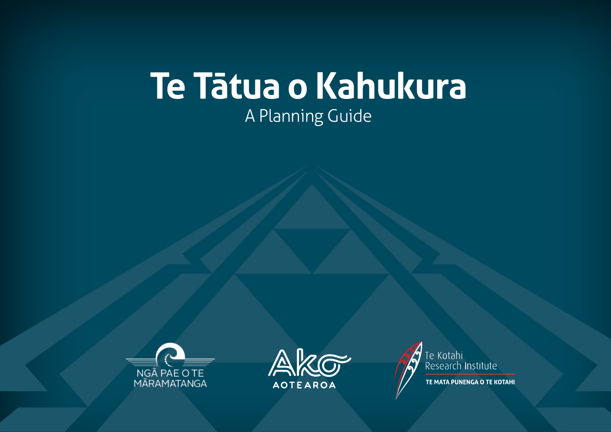# **Te Tātua o Kahukura** A Planning Guide







TE MATA PUNENGA O TE KOTAHI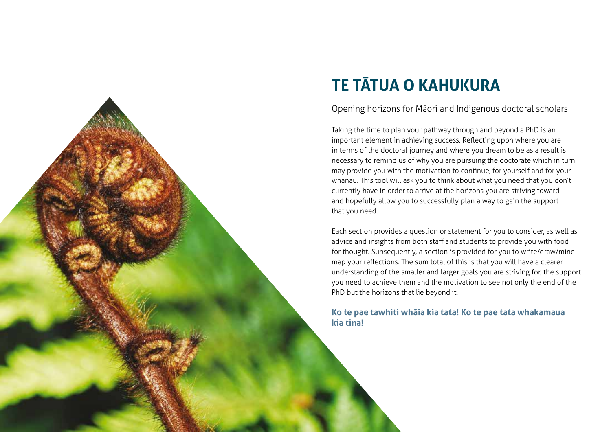

# **TE TĀTUA O KAHUKURA**

#### Opening horizons for Māori and Indigenous doctoral scholars

Taking the time to plan your pathway through and beyond a PhD is an important element in achieving success. Reflecting upon where you are in terms of the doctoral journey and where you dream to be as a result is necessary to remind us of why you are pursuing the doctorate which in turn may provide you with the motivation to continue, for yourself and for your whānau. This tool will ask you to think about what you need that you don't currently have in order to arrive at the horizons you are striving toward and hopefully allow you to successfully plan a way to gain the support that you need.

Each section provides a question or statement for you to consider, as well as advice and insights from both staff and students to provide you with food for thought. Subsequently, a section is provided for you to write/draw/mind map your reflections. The sum total of this is that you will have a clearer understanding of the smaller and larger goals you are striving for, the support you need to achieve them and the motivation to see not only the end of the PhD but the horizons that lie beyond it.

#### **Ko te pae tawhiti whāia kia tata! Ko te pae tata whakamaua kia tina!**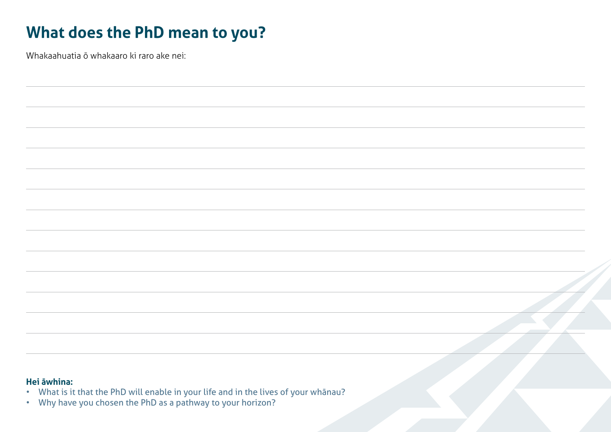### **What does the PhD mean to you?**

Whakaahuatia ō whakaaro ki raro ake nei:

#### **Hei āwhina:**

- What is it that the PhD will enable in your life and in the lives of your whānau?
- Why have you chosen the PhD as a pathway to your horizon?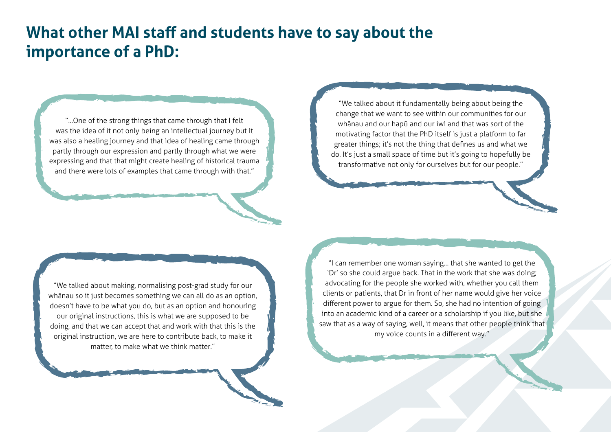### **What other MAI staff and students have to say about the importance of a PhD:**

"…One of the strong things that came through that I felt was the idea of it not only being an intellectual journey but it was also a healing journey and that idea of healing came through partly through our expression and partly through what we were expressing and that that might create healing of historical trauma and there were lots of examples that came through with that."

"We talked about it fundamentally being about being the change that we want to see within our communities for our whānau and our hapū and our iwi and that was sort of the motivating factor that the PhD itself is just a platform to far greater things; it's not the thing that defines us and what we do. It's just a small space of time but it's going to hopefully be transformative not only for ourselves but for our people."

"We talked about making, normalising post-grad study for our whānau so it just becomes something we can all do as an option, doesn't have to be what you do, but as an option and honouring our original instructions, this is what we are supposed to be doing, and that we can accept that and work with that this is the original instruction, we are here to contribute back, to make it matter, to make what we think matter."

"I can remember one woman saying… that she wanted to get the 'Dr' so she could argue back. That in the work that she was doing; advocating for the people she worked with, whether you call them clients or patients, that Dr in front of her name would give her voice different power to argue for them. So, she had no intention of going into an academic kind of a career or a scholarship if you like, but she saw that as a way of saying, well, it means that other people think that my voice counts in a different way."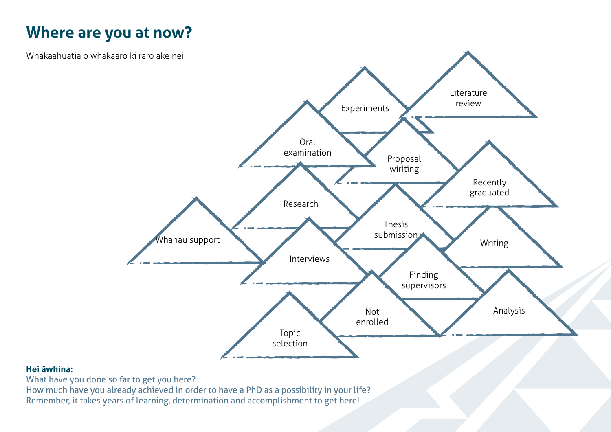### **Where are you at now?**

Whakaahuatia ō whakaaro ki raro ake nei:



#### **Hei āwhina:**

What have you done so far to get you here?

How much have you already achieved in order to have a PhD as a possibility in your life? Remember, it takes years of learning, determination and accomplishment to get here!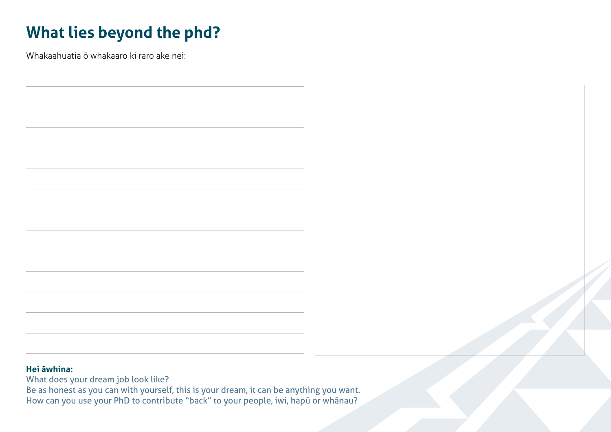# **What lies beyond the phd?**

Whakaahuatia ō whakaaro ki raro ake nei:



### **Hei āwhina:**

What does your dream job look like?

Be as honest as you can with yourself, this is your dream, it can be anything you want. How can you use your PhD to contribute "back" to your people, iwi, hapū or whānau?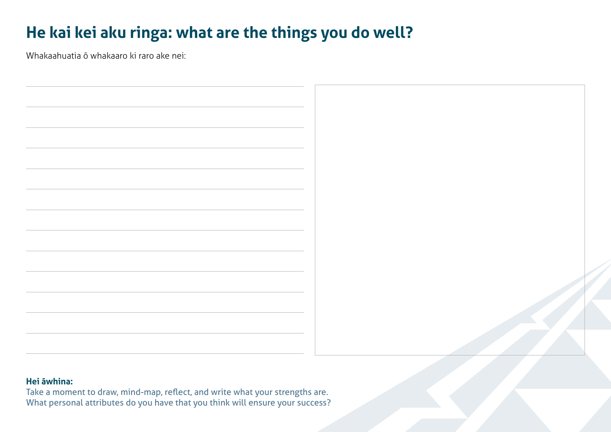### **He kai kei aku ringa: what are the things you do well?**

Whakaahuatia ō whakaaro ki raro ake nei:

#### **Hei āwhina:**

Take a moment to draw, mind-map, reflect, and write what your strengths are. What personal attributes do you have that you think will ensure your success?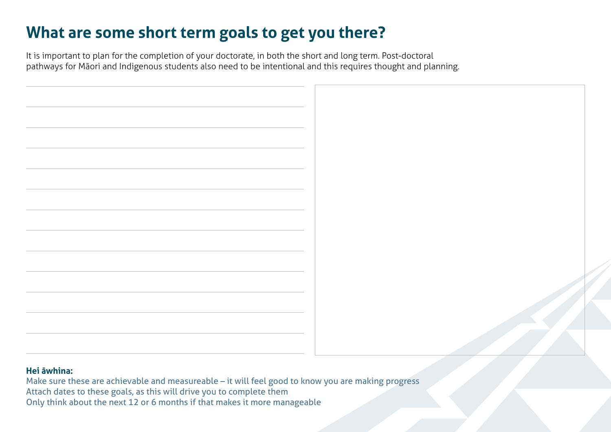### **What are some short term goals to get you there?**

It is important to plan for the completion of your doctorate, in both the short and long term. Post-doctoral pathways for Māori and Indigenous students also need to be intentional and this requires thought and planning.



### **Hei āwhina:**

Make sure these are achievable and measureable – it will feel good to know you are making progress Attach dates to these goals, as this will drive you to complete them Only think about the next 12 or 6 months if that makes it more manageable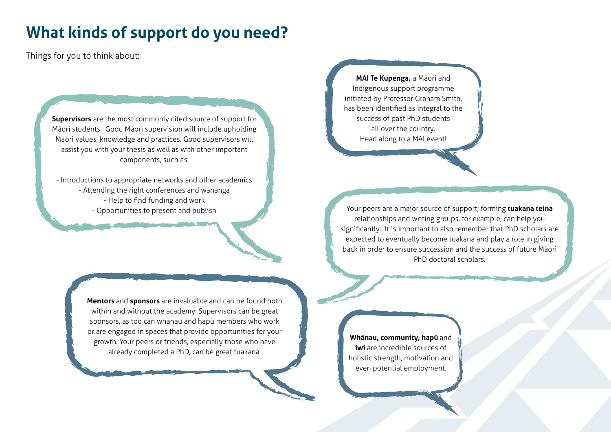### **What kinds of support do you need?**

Things for you to think about:

**Supervisors** are the most commonly cited source of support for Māori students. Good Māori supervision will include upholding Māori values, knowledge and practices. Good supervisors will assist you with your thesis as well as with other important components, such as:

- Introductions to appropriate networks and other academics - Attending the right conferences and wānanga - Help to find funding and work - Opportunities to present and publish

> **Mentors** and **sponsors** are invaluable and can be found both within and without the academy. Supervisors can be great sponsors, as too can whānau and hapū members who work or are engaged in spaces that provide opportunities for your growth. Your peers or friends, especially those who have already completed a PhD, can be great tuakana.

**MAI Te Kupenga,** a Māori and Indigenous support programme initiated by Professor Graham Smith, has been identified as integral to the success of past PhD students all over the country. Head along to a MAI event!

Your peers are a major source of support; forming **tuakana teina** relationships and writing groups, for example, can help you significantly. It is important to also remember that PhD scholars are expected to eventually become tuakana and play a role in giving back in order to ensure succession and the success of future Māori PhD doctoral scholars.

**Whānau, community, hapū** and **iwi** are incredible sources of holistic strength, motivation and even potential employment.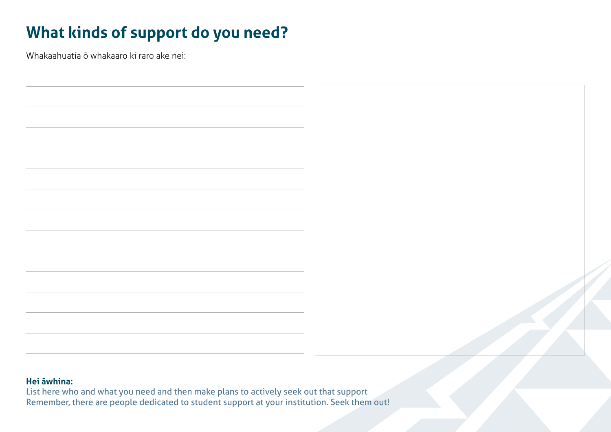# **What kinds of support do you need?**

Whakaahuatia ō whakaaro ki raro ake nei:



### **Hei āwhina:**

List here who and what you need and then make plans to actively seek out that support Remember, there are people dedicated to student support at your institution. Seek them out!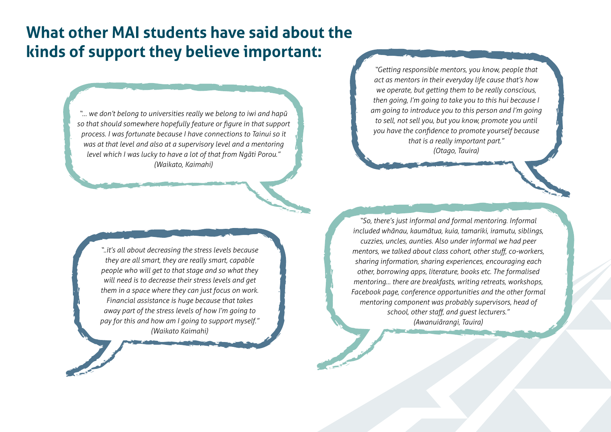### **What other MAI students have said about the kinds of support they believe important:**

*"… we don't belong to universities really we belong to iwi and hapū so that should somewhere hopefully feature or figure in that support process. I was fortunate because I have connections to Tainui so it was at that level and also at a supervisory level and a mentoring level which I was lucky to have a lot of that from Ngāti Porou." (Waikato, Kaimahi)*

*"Getting responsible mentors, you know, people that act as mentors in their everyday life cause that's how we operate, but getting them to be really conscious, then going, I'm going to take you to this hui because I am going to introduce you to this person and I'm going to sell, not sell you, but you know, promote you until you have the confidence to promote yourself because that is a really important part." (Otago, Tauira)*

*"..it's all about decreasing the stress levels because they are all smart, they are really smart, capable people who will get to that stage and so what they will need is to decrease their stress levels and get them in a space where they can just focus on work. Financial assistance is huge because that takes away part of the stress levels of how I'm going to pay for this and how am I going to support myself." (Waikato Kaimahi)*

*"So, there's just informal and formal mentoring. Informal included whānau, kaumātua, kuia, tamariki, iramutu, siblings, cuzzies, uncles, aunties. Also under informal we had peer mentors, we talked about class cohort, other stuff, co-workers, sharing information, sharing experiences, encouraging each other, borrowing apps, literature, books etc. The formalised mentoring… there are breakfasts, writing retreats, workshops, Facebook page, conference opportunities and the other formal mentoring component was probably supervisors, head of school, other staff, and guest lecturers." (Awanuiārangi, Tauira)*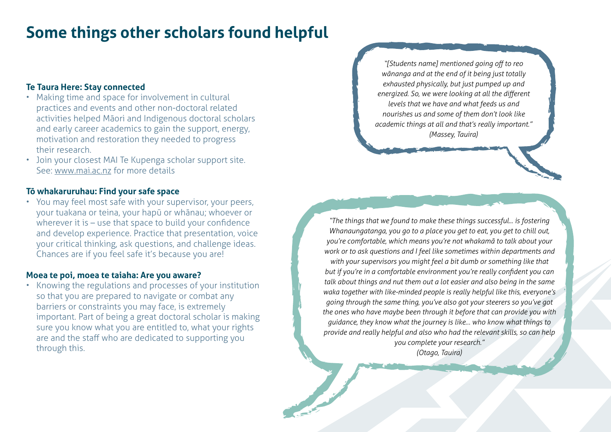### **Some things other scholars found helpful**

#### **Te Taura Here: Stay connected**

- Making time and space for involvement in cultural practices and events and other non-doctoral related activities helped Māori and Indigenous doctoral scholars and early career academics to gain the support, energy, motivation and restoration they needed to progress their research.
- Join your closest MAI Te Kupenga scholar support site. See: www.mai.ac.nz for more details

#### **Tō whakaruruhau: Find your safe space**

• You may feel most safe with your supervisor, your peers, your tuakana or teina, your hapū or whānau; whoever or wherever it is - use that space to build your confidence and develop experience. Practice that presentation, voice your critical thinking, ask questions, and challenge ideas. Chances are if you feel safe it's because you are!

#### **Moea te poi, moea te taiaha: Are you aware?**

• Knowing the regulations and processes of your institution so that you are prepared to navigate or combat any barriers or constraints you may face, is extremely important. Part of being a great doctoral scholar is making sure you know what you are entitled to, what your rights are and the staff who are dedicated to supporting you through this.

*"[Students name] mentioned going off to reo wānanga and at the end of it being just totally exhausted physically, but just pumped up and energized. So, we were looking at all the different levels that we have and what feeds us and nourishes us and some of them don't look like academic things at all and that's really important." (Massey, Tauira)*

*"The things that we found to make these things successful... is fostering Whanaungatanga, you go to a place you get to eat, you get to chill out, you're comfortable, which means you're not whakamā to talk about your work or to ask questions and I feel like sometimes within departments and with your supervisors you might feel a bit dumb or something like that but if you're in a comfortable environment you're really confident you can talk about things and nut them out a lot easier and also being in the same waka together with like-minded people is really helpful like this, everyone's going through the same thing, you've also got your steerers so you've got the ones who have maybe been through it before that can provide you with guidance, they know what the journey is like… who know what things to provide and really helpful and also who had the relevant skills, so can help you complete your research." (Otago, Tauira)*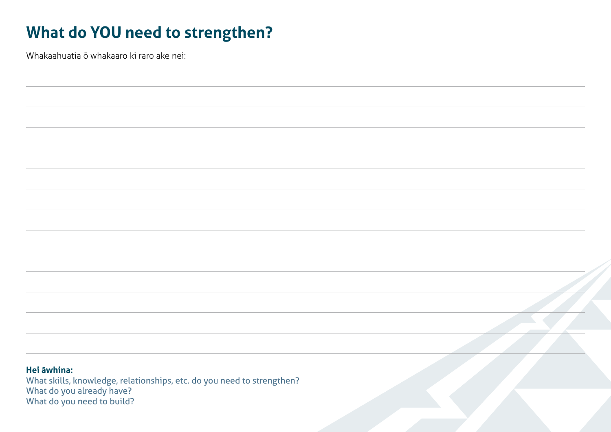### **What do YOU need to strengthen?**

Whakaahuatia ō whakaaro ki raro ake nei:

**Hei āwhina:** What skills, knowledge, relationships, etc. do you need to strengthen? What do you already have? What do you need to build?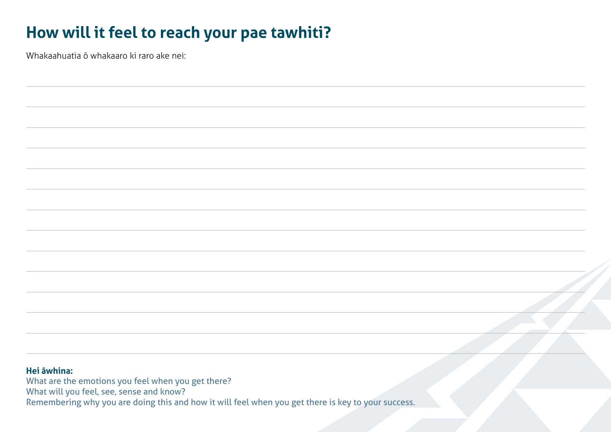### **How will it feel to reach your pae tawhiti?**

Whakaahuatia ō whakaaro ki raro ake nei:

#### **Hei āwhina:**

What are the emotions you feel when you get there? What will you feel, see, sense and know? Remembering why you are doing this and how it will feel when you get there is key to your success.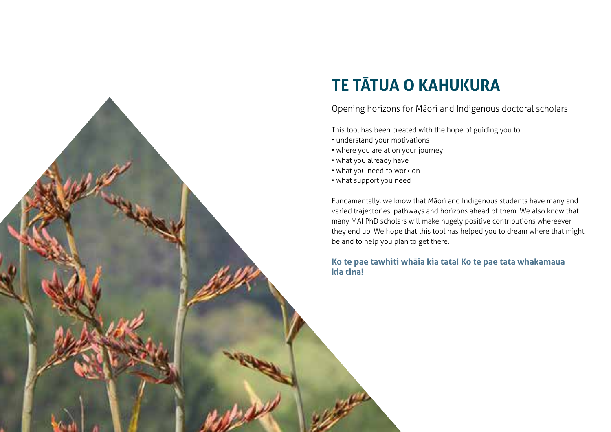

# **TE TĀTUA O KAHUKURA**

Opening horizons for Māori and Indigenous doctoral scholars

This tool has been created with the hope of guiding you to:

- understand your motivations
- where you are at on your journey
- what you already have
- what you need to work on
- what support you need

Fundamentally, we know that Māori and Indigenous students have many and varied trajectories, pathways and horizons ahead of them. We also know that many MAI PhD scholars will make hugely positive contributions whereever they end up. We hope that this tool has helped you to dream where that might be and to help you plan to get there.

# **Ko te pae tawhiti whāia kia tata! Ko te pae tata whakamaua**